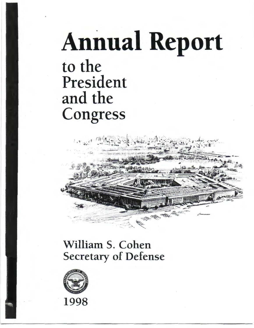## **Annual Report** to the President and the Congress



## William S. Cohen Secretary of Defense



1998